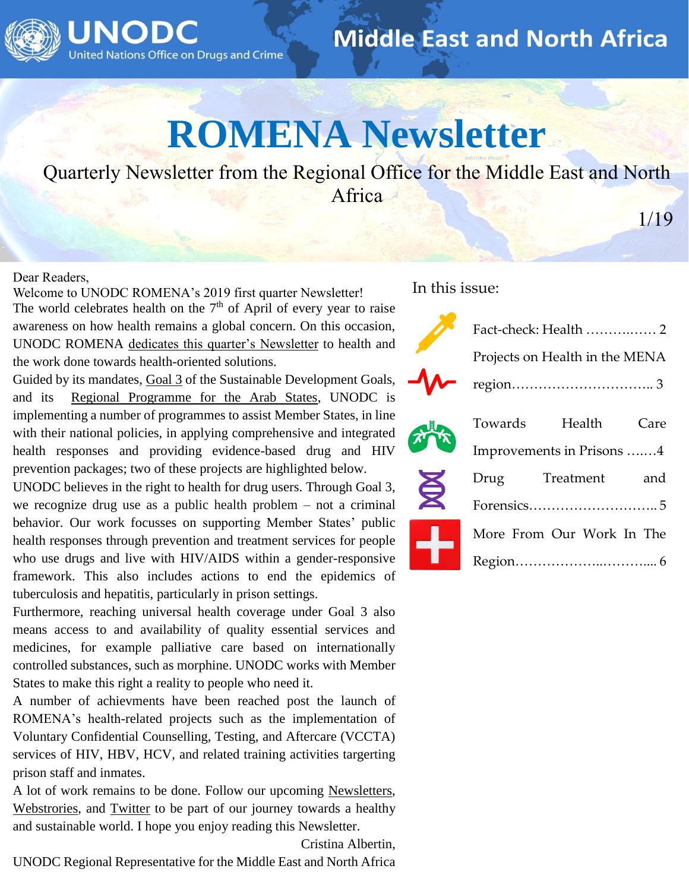

#### **Middle East and North Africa**

## **ROMENA Newsletter**

Quarterly Newsletter from the Regional Office for the Middle East and North **Africa** 

1/19

#### Dear Readers,

Welcome to UNODC ROMENA's 2019 first quarter Newsletter! The world celebrates health on the  $7<sup>th</sup>$  of April of every year to raise awareness on how health remains a global concern. On this occasion, UNODC ROMENA [dedicates this quarter's Newsletter](https://twitter.com/UNODC_ROMENA/status/1114870945628471296) to health and the work done towards health-oriented solutions.

Guided by its mandates, [Goal 3](https://sustainabledevelopment.un.org/sdg3) of the Sustainable Development Goals, and its [Regional Programme for the Arab States,](https://www.unodc.org/middleeastandnorthafrica/en/regional-programme-framework/regional-programme-2016-2021.html) UNODC is implementing a number of programmes to assist Member States, in line with their national policies, in applying comprehensive and integrated health responses and providing evidence-based drug and HIV prevention packages; two of these projects are highlighted below.

UNODC believes in the right to health for drug users. Through Goal 3, we recognize drug use as a public health problem – not a criminal behavior. Our work focusses on supporting Member States' public health responses through prevention and treatment services for people who use drugs and live with HIV/AIDS within a gender-responsive framework. This also includes actions to end the epidemics of tuberculosis and hepatitis, particularly in prison settings.

Furthermore, reaching universal health coverage under Goal 3 also means access to and availability of quality essential services and medicines, for example palliative care based on internationally controlled substances, such as morphine. UNODC works with Member States to make this right a reality to people who need it.

A number of achievments have been reached post the launch of ROMENA's health-related projects such as the implementation of Voluntary Confidential Counselling, Testing, and Aftercare (VCCTA) services of HIV, HBV, HCV, and related training activities targerting prison staff and inmates.

A lot of work remains to be done. Follow our upcoming [Newsletters,](https://www.unodc.org/middleeastandnorthafrica/en/publications/romena-newsletter.html) [Webstrories,](https://www.unodc.org/middleeastandnorthafrica/index.html) and [Twitter](https://twitter.com/UNODC_ROMENA/status/1114870945628471296) to be part of our journey towards a healthy and sustainable world. I hope you enjoy reading this Newsletter.

Cristina Albertin,

UNODC Regional Representative for the Middle East and North Africa

In this issue:

对

|             | Projects on Health in the MENA |                                                                        |      |
|-------------|--------------------------------|------------------------------------------------------------------------|------|
|             |                                | $region \dots \dots \dots \dots \dots \dots \dots \dots \dots \dots 3$ |      |
|             |                                | Towards Health                                                         | Care |
|             | Improvements in Prisons 4      |                                                                        |      |
| $\bigoplus$ | Drug                           | Treatment                                                              | and  |
|             |                                |                                                                        |      |
|             | More From Our Work In The      |                                                                        |      |
|             |                                |                                                                        |      |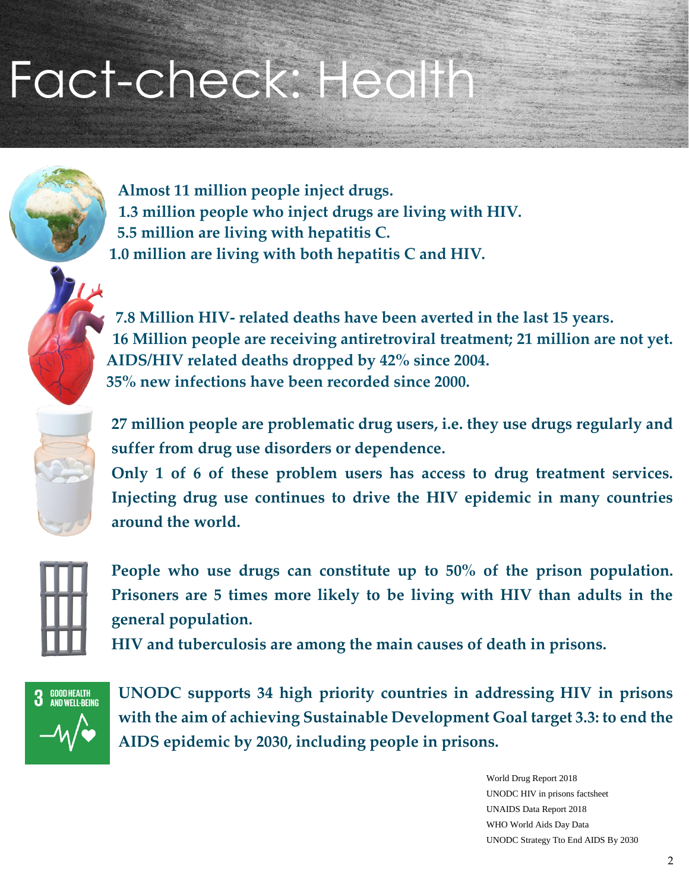## Fact-check: Health



**Almost 11 million people inject drugs. 1.3 million people who inject drugs are living with HIV. 5.5 million are living with hepatitis C. 1.0 million are living with both hepatitis C and HIV.**



**7.8 Million HIV- related deaths have been averted in the last 15 years. 16 Million people are receiving antiretroviral treatment; 21 million are not yet. AIDS/HIV related deaths dropped by 42% since 2004. 35% new infections have been recorded since 2000.** 



**27 million people are problematic drug users, i.e. they use drugs regularly and suffer from drug use disorders or dependence.**

**Only 1 of 6 of these problem users has access to drug treatment services. Injecting drug use continues to drive the HIV epidemic in many countries around the world.** 



**People who use drugs can constitute up to 50% of the prison population. Prisoners are 5 times more likely to be living with HIV than adults in the general population.** 

**HIV and tuberculosis are among the main causes of death in prisons.** 



**UNODC supports 34 high priority countries in addressing HIV in prisons with the aim of achieving Sustainable Development Goal target 3.3: to end the AIDS epidemic by 2030, including people in prisons.** 

> World Drug Report 2018 UNODC HIV in prisons factsheet UNAIDS Data Report 2018 WHO World Aids Day Data UNODC Strategy Tto End AIDS By 2030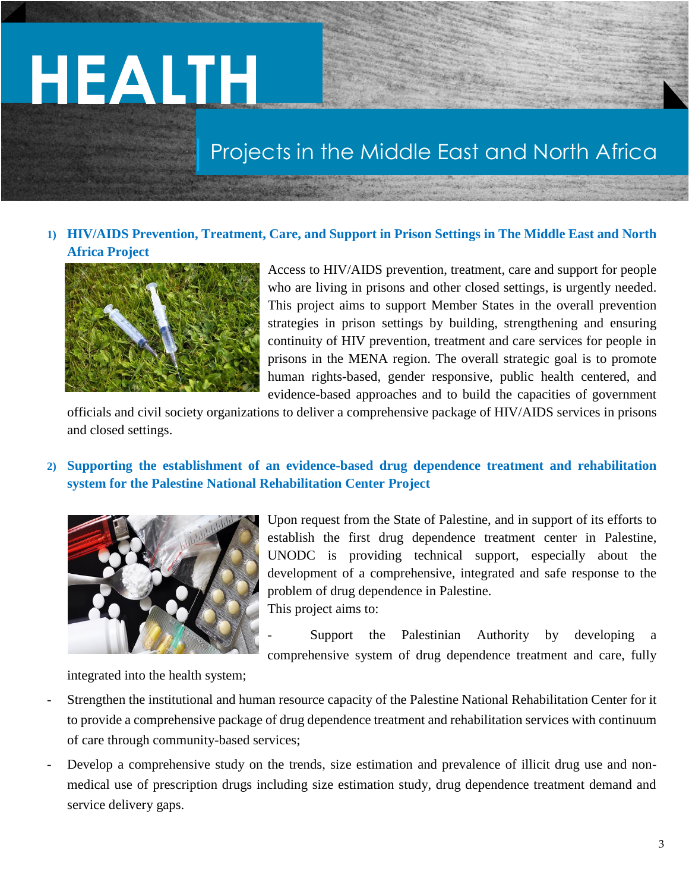# **HEALTH**

#### Projects in the Middle East and North Africa

#### **1) HIV/AIDS Prevention, Treatment, Care, and Support in Prison Settings in The Middle East and North Africa Project**



Access to HIV/AIDS prevention, treatment, care and support for people who are living in prisons and other closed settings, is urgently needed. This project aims to support Member States in the overall prevention strategies in prison settings by building, strengthening and ensuring continuity of HIV prevention, treatment and care services for people in prisons in the MENA region. The overall strategic goal is to promote human rights-based, gender responsive, public health centered, and evidence-based approaches and to build the capacities of government

officials and civil society organizations to deliver a comprehensive package of HIV/AIDS services in prisons and closed settings.

#### **2) Supporting the establishment of an evidence-based drug dependence treatment and rehabilitation system for the Palestine National Rehabilitation Center Project**



Upon request from the State of Palestine, and in support of its efforts to establish the first drug dependence treatment center in Palestine, UNODC is providing technical support, especially about the development of a comprehensive, integrated and safe response to the problem of drug dependence in Palestine. This project aims to:

Support the Palestinian Authority by developing a comprehensive system of drug dependence treatment and care, fully

integrated into the health system;

- Strengthen the institutional and human resource capacity of the Palestine National Rehabilitation Center for it to provide a comprehensive package of drug dependence treatment and rehabilitation services with continuum of care through community-based services;
- Develop a comprehensive study on the trends, size estimation and prevalence of illicit drug use and nonmedical use of prescription drugs including size estimation study, drug dependence treatment demand and service delivery gaps.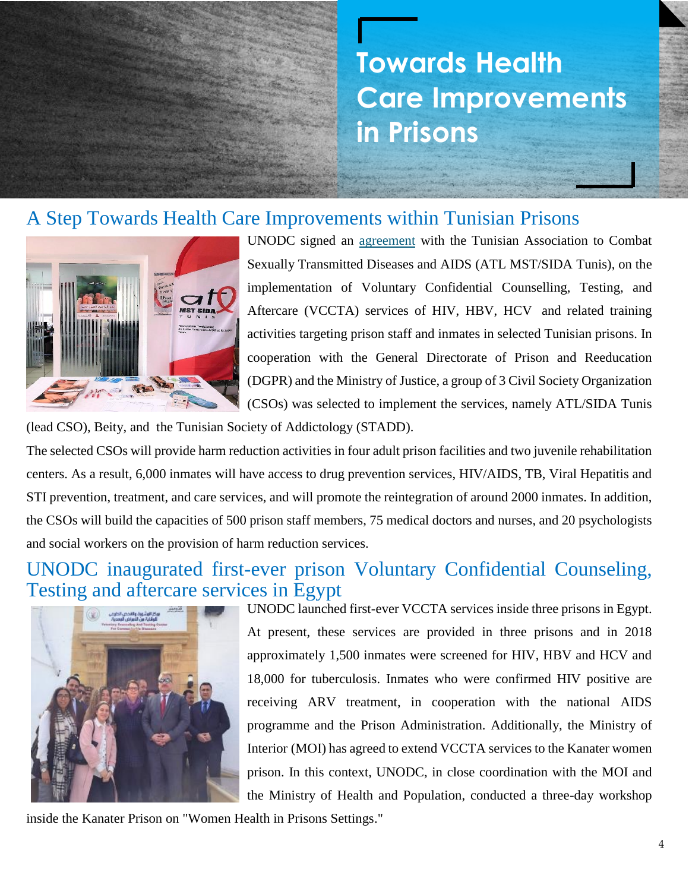### **Towards Health Care Improvements in Prisons**

#### A Step Towards Health Care Improvements within Tunisian Prisons



UNODC signed an [agreement](https://www.unodc.org/middleeastandnorthafrica/en/web-stories/tunisia_-a-step-towards-health-care-improvements-within-tunisian-prisons.html) with the Tunisian Association to Combat Sexually Transmitted Diseases and AIDS (ATL MST/SIDA Tunis), on the implementation of Voluntary Confidential Counselling, Testing, and Aftercare (VCCTA) services of HIV, HBV, HCV and related training activities targeting prison staff and inmates in selected Tunisian prisons. In cooperation with the General Directorate of Prison and Reeducation (DGPR) and the Ministry of Justice, a group of 3 Civil Society Organization (CSOs) was selected to implement the services, namely ATL/SIDA Tunis

(lead CSO), Beity, and the Tunisian Society of Addictology (STADD).

The selected CSOs will provide harm reduction activities in four adult prison facilities and two juvenile rehabilitation centers. As a result, 6,000 inmates will have access to drug prevention services, HIV/AIDS, TB, Viral Hepatitis and STI prevention, treatment, and care services, and will promote the reintegration of around 2000 inmates. In addition, the CSOs will build the capacities of 500 prison staff members, 75 medical doctors and nurses, and 20 psychologists and social workers on the provision of harm reduction services.

#### UNODC inaugurated first-ever prison Voluntary Confidential Counseling, Testing and aftercare services in Egypt



UNODC launched first-ever VCCTA services inside three prisons in Egypt. At present, these services are provided in three prisons and in 2018 approximately 1,500 inmates were screened for HIV, HBV and HCV and 18,000 for tuberculosis. Inmates who were confirmed HIV positive are receiving ARV treatment, in cooperation with the national AIDS programme and the Prison Administration. Additionally, the Ministry of Interior (MOI) has agreed to extend VCCTA services to the Kanater women prison. In this context, UNODC, in close coordination with the MOI and the Ministry of Health and Population, conducted a three-day workshop

inside the Kanater Prison on "Women Health in Prisons Settings."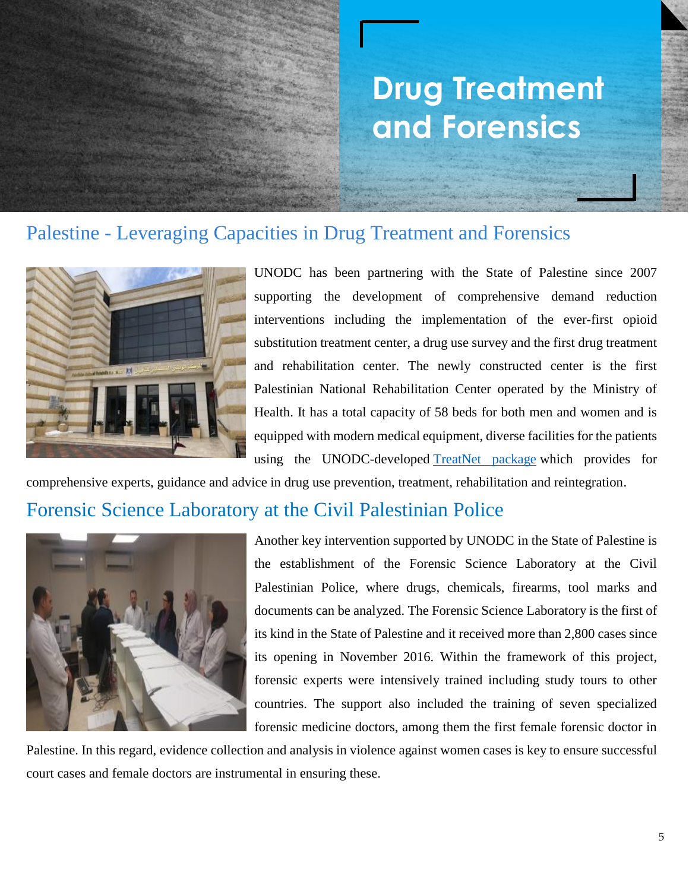## **Drug Treatment and Forensics**

#### Palestine - Leveraging Capacities in Drug Treatment and Forensics



UNODC has been partnering with the State of Palestine since 2007 supporting the development of comprehensive demand reduction interventions including the implementation of the ever-first opioid substitution treatment center, a drug use survey and the first drug treatment and rehabilitation center. The newly constructed center is the first Palestinian National Rehabilitation Center operated by the Ministry of Health. It has a total capacity of 58 beds for both men and women and is equipped with modern medical equipment, diverse facilities for the patients using the UNODC-developed [TreatNet package](https://www.unodc.org/unodc/en/treatment-and-care/treatnet-training-package.html) which provides for

comprehensive experts, guidance and advice in drug use prevention, treatment, rehabilitation and reintegration.

#### Forensic Science Laboratory at the Civil Palestinian Police



Another key intervention supported by UNODC in the State of Palestine is the establishment of the Forensic Science Laboratory at the Civil Palestinian Police, where drugs, chemicals, firearms, tool marks and documents can be analyzed. The Forensic Science Laboratory is the first of its kind in the State of Palestine and it received more than 2,800 cases since its opening in November 2016. Within the framework of this project, forensic experts were intensively trained including study tours to other countries. The support also included the training of seven specialized forensic medicine doctors, among them the first female forensic doctor in

Palestine. In this regard, evidence collection and analysis in violence against women cases is key to ensure successful court cases and female doctors are instrumental in ensuring these.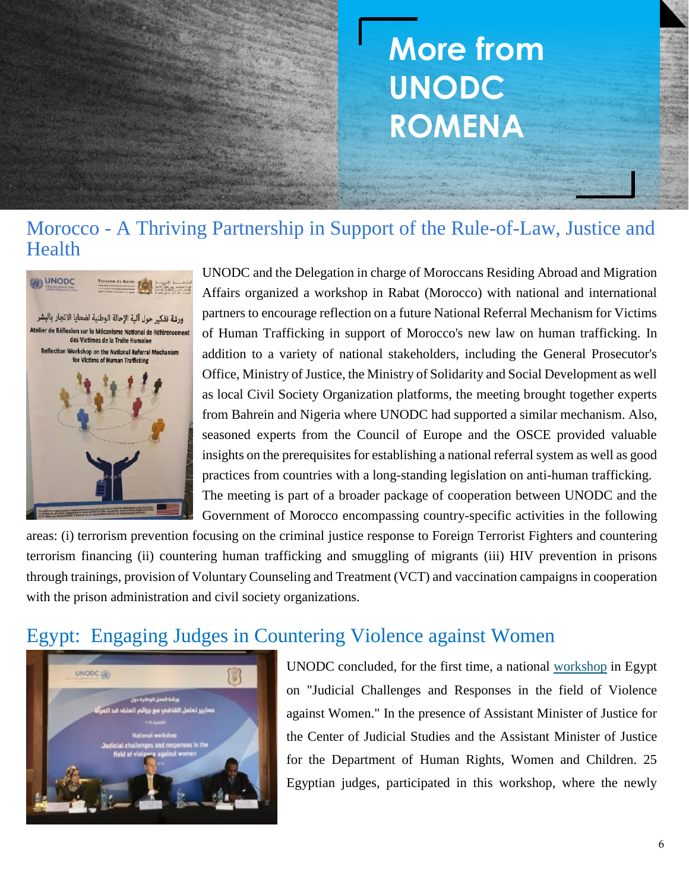## **More from UNODC ROMENA**

#### Morocco - A Thriving Partnership in Support of the Rule-of-Law, Justice and Health



UNODC and the Delegation in charge of Moroccans Residing Abroad and Migration Affairs organized a workshop in Rabat (Morocco) with national and international partners to encourage reflection on a future National Referral Mechanism for Victims of Human Trafficking in support of Morocco's new law on human trafficking. In addition to a variety of national stakeholders, including the General Prosecutor's Office, Ministry of Justice, the Ministry of Solidarity and Social Development as well as local Civil Society Organization platforms, the meeting brought together experts from Bahrein and Nigeria where UNODC had supported a similar mechanism. Also, seasoned experts from the Council of Europe and the OSCE provided valuable insights on the prerequisites for establishing a national referral system as well as good practices from countries with a long-standing legislation on anti-human trafficking. The meeting is part of a broader package of cooperation between UNODC and the Government of Morocco encompassing country-specific activities in the following

areas: (i) terrorism prevention focusing on the criminal justice response to Foreign Terrorist Fighters and countering terrorism financing (ii) countering human trafficking and smuggling of migrants (iii) HIV prevention in prisons through trainings, provision of Voluntary Counseling and Treatment (VCT) and vaccination campaigns in cooperation with the prison administration and civil society organizations.

#### Egypt: Engaging Judges in Countering Violence against Women



UNODC concluded, for the first time, a national [workshop](https://www.unodc.org/middleeastandnorthafrica/en/web-stories/egypt---engaging-judges-against-violence-against-women.html) in Egypt on "Judicial Challenges and Responses in the field of Violence against Women." In the presence of Assistant Minister of Justice for the Center of Judicial Studies and the Assistant Minister of Justice for the Department of Human Rights, Women and Children. 25 Egyptian judges, participated in this workshop, where the newly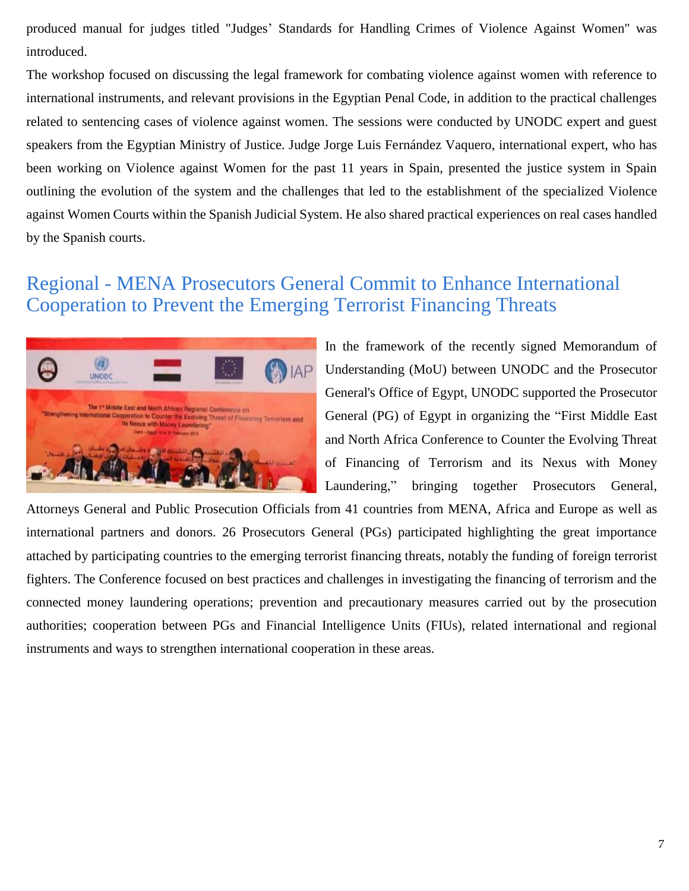produced manual for judges titled "Judges' Standards for Handling Crimes of Violence Against Women" was introduced.

The workshop focused on discussing the legal framework for combating violence against women with reference to international instruments, and relevant provisions in the Egyptian Penal Code, in addition to the practical challenges related to sentencing cases of violence against women. The sessions were conducted by UNODC expert and guest speakers from the Egyptian Ministry of Justice. Judge Jorge Luis Fernández Vaquero, international expert, who has been working on Violence against Women for the past 11 years in Spain, presented the justice system in Spain outlining the evolution of the system and the challenges that led to the establishment of the specialized Violence against Women Courts within the Spanish Judicial System. He also shared practical experiences on real cases handled by the Spanish courts.

#### Regional - MENA Prosecutors General Commit to Enhance International Cooperation to Prevent the Emerging Terrorist Financing Threats



In the framework of the recently signed Memorandum of Understanding (MoU) between UNODC and the Prosecutor General's Office of Egypt, UNODC supported the Prosecutor General (PG) of Egypt in organizing the "First Middle East and North Africa Conference to Counter the Evolving Threat of Financing of Terrorism and its Nexus with Money Laundering," bringing together Prosecutors General,

Attorneys General and Public Prosecution Officials from 41 countries from MENA, Africa and Europe as well as international partners and donors. 26 Prosecutors General (PGs) participated highlighting the great importance attached by participating countries to the emerging terrorist financing threats, notably the funding of foreign terrorist fighters. The Conference focused on best practices and challenges in investigating the financing of terrorism and the connected money laundering operations; prevention and precautionary measures carried out by the prosecution authorities; cooperation between PGs and Financial Intelligence Units (FIUs), related international and regional instruments and ways to strengthen international cooperation in these areas.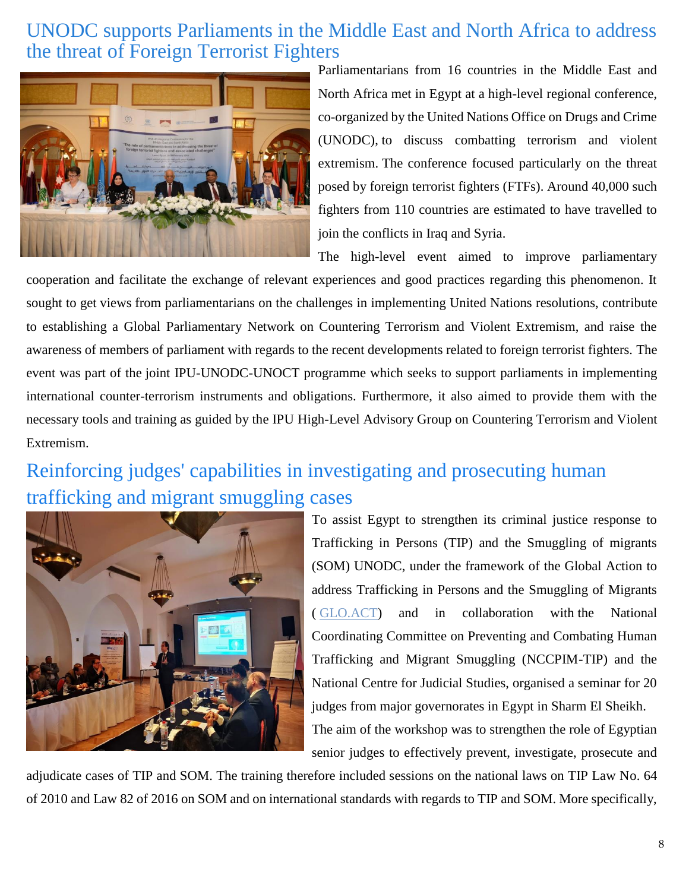#### UNODC supports Parliaments in the Middle East and North Africa to address the threat of Foreign Terrorist Fighters



Parliamentarians from 16 countries in the Middle East and North Africa met in Egypt at a high-level regional conference, co-organized by the United Nations Office on Drugs and Crime (UNODC), to discuss combatting terrorism and violent extremism. The conference focused particularly on the threat posed by foreign terrorist fighters (FTFs). Around 40,000 such fighters from 110 countries are estimated to have travelled to join the conflicts in Iraq and Syria.

The high-level event aimed to improve parliamentary

cooperation and facilitate the exchange of relevant experiences and good practices regarding this phenomenon. It sought to get views from parliamentarians on the challenges in implementing United Nations resolutions, contribute to establishing a Global Parliamentary Network on Countering Terrorism and Violent Extremism, and raise the awareness of members of parliament with regards to the recent developments related to foreign terrorist fighters. The event was part of the joint IPU-UNODC-UNOCT programme which seeks to support parliaments in implementing international counter-terrorism instruments and obligations. Furthermore, it also aimed to provide them with the necessary tools and training as guided by the IPU High-Level Advisory Group on Countering Terrorism and Violent Extremism.

#### Reinforcing judges' capabilities in investigating and prosecuting human trafficking and migrant smuggling cases



To assist Egypt to strengthen its criminal justice response to Trafficking in Persons (TIP) and the Smuggling of migrants (SOM) UNODC, under the framework of the Global Action to address Trafficking in Persons and the Smuggling of Migrants ( [GLO.ACT\)](https://www.unodc.org/unodc/en/human-trafficking/glo-act/index.html) and in collaboration with the National Coordinating Committee on Preventing and Combating Human Trafficking and Migrant Smuggling (NCCPIM-TIP) and the National Centre for Judicial Studies, organised a seminar for 20 judges from major governorates in Egypt in Sharm El Sheikh. The aim of the workshop was to strengthen the role of Egyptian

senior judges to effectively prevent, investigate, prosecute and

adjudicate cases of TIP and SOM. The training therefore included sessions on the national laws on TIP Law No. 64 of 2010 and Law 82 of 2016 on SOM and on international standards with regards to TIP and SOM. More specifically,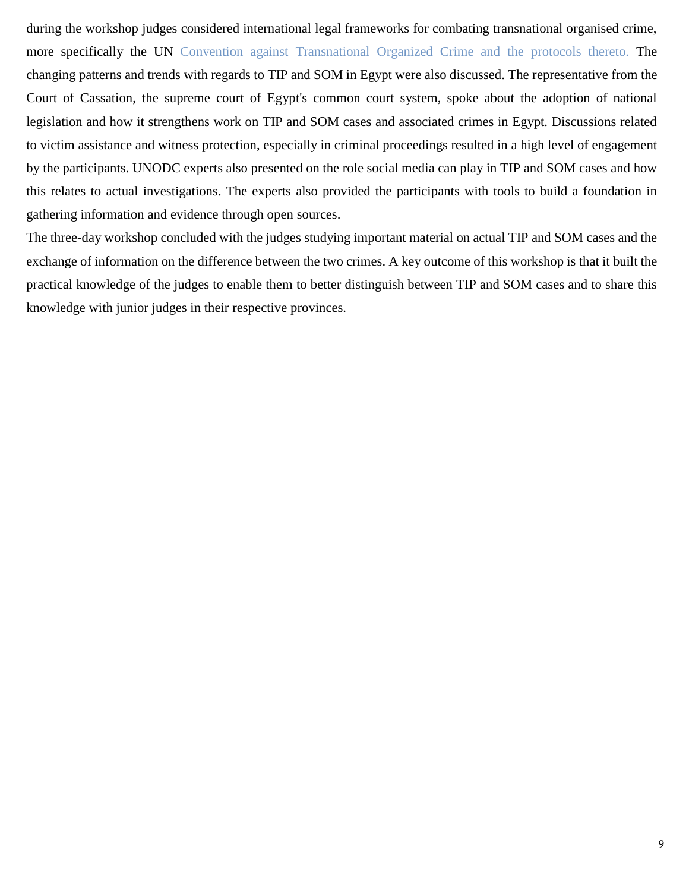during the workshop judges considered international legal frameworks for combating transnational organised crime, more specifically the UN [Convention against Transnational Organized Crime and the protocols thereto.](https://www.unodc.org/unodc/en/organized-crime/intro/UNTOC.html) The changing patterns and trends with regards to TIP and SOM in Egypt were also discussed. The representative from the Court of Cassation, the supreme court of Egypt's common court system, spoke about the adoption of national legislation and how it strengthens work on TIP and SOM cases and associated crimes in Egypt. Discussions related to victim assistance and witness protection, especially in criminal proceedings resulted in a high level of engagement by the participants. UNODC experts also presented on the role social media can play in TIP and SOM cases and how this relates to actual investigations. The experts also provided the participants with tools to build a foundation in gathering information and evidence through open sources.

The three-day workshop concluded with the judges studying important material on actual TIP and SOM cases and the exchange of information on the difference between the two crimes. A key outcome of this workshop is that it built the practical knowledge of the judges to enable them to better distinguish between TIP and SOM cases and to share this knowledge with junior judges in their respective provinces.